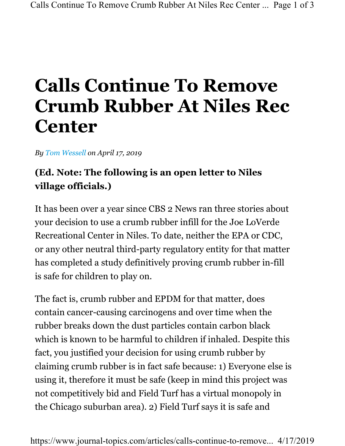## Calls Continue To Remove Crumb Rubber At Niles Rec **Center**

By Tom Wessell on April 17, 2019

## (Ed. Note: The following is an open letter to Niles village officials.)

It has been over a year since CBS 2 News ran three stories about your decision to use a crumb rubber infill for the Joe LoVerde Recreational Center in Niles. To date, neither the EPA or CDC, or any other neutral third-party regulatory entity for that matter has completed a study definitively proving crumb rubber in-fill is safe for children to play on.

The fact is, crumb rubber and EPDM for that matter, does contain cancer-causing carcinogens and over time when the rubber breaks down the dust particles contain carbon black which is known to be harmful to children if inhaled. Despite this fact, you justified your decision for using crumb rubber by claiming crumb rubber is in fact safe because: 1) Everyone else is using it, therefore it must be safe (keep in mind this project was not competitively bid and Field Turf has a virtual monopoly in the Chicago suburban area). 2) Field Turf says it is safe and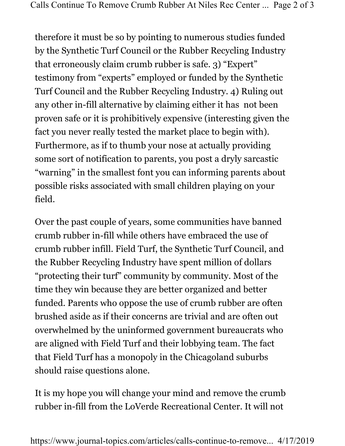therefore it must be so by pointing to numerous studies funded by the Synthetic Turf Council or the Rubber Recycling Industry that erroneously claim crumb rubber is safe. 3) "Expert" testimony from "experts" employed or funded by the Synthetic Turf Council and the Rubber Recycling Industry. 4) Ruling out any other in-fill alternative by claiming either it has not been proven safe or it is prohibitively expensive (interesting given the fact you never really tested the market place to begin with). Furthermore, as if to thumb your nose at actually providing some sort of notification to parents, you post a dryly sarcastic "warning" in the smallest font you can informing parents about possible risks associated with small children playing on your field.

Over the past couple of years, some communities have banned crumb rubber in-fill while others have embraced the use of crumb rubber infill. Field Turf, the Synthetic Turf Council, and the Rubber Recycling Industry have spent million of dollars "protecting their turf" community by community. Most of the time they win because they are better organized and better funded. Parents who oppose the use of crumb rubber are often brushed aside as if their concerns are trivial and are often out overwhelmed by the uninformed government bureaucrats who are aligned with Field Turf and their lobbying team. The fact that Field Turf has a monopoly in the Chicagoland suburbs should raise questions alone.

It is my hope you will change your mind and remove the crumb rubber in-fill from the LoVerde Recreational Center. It will not